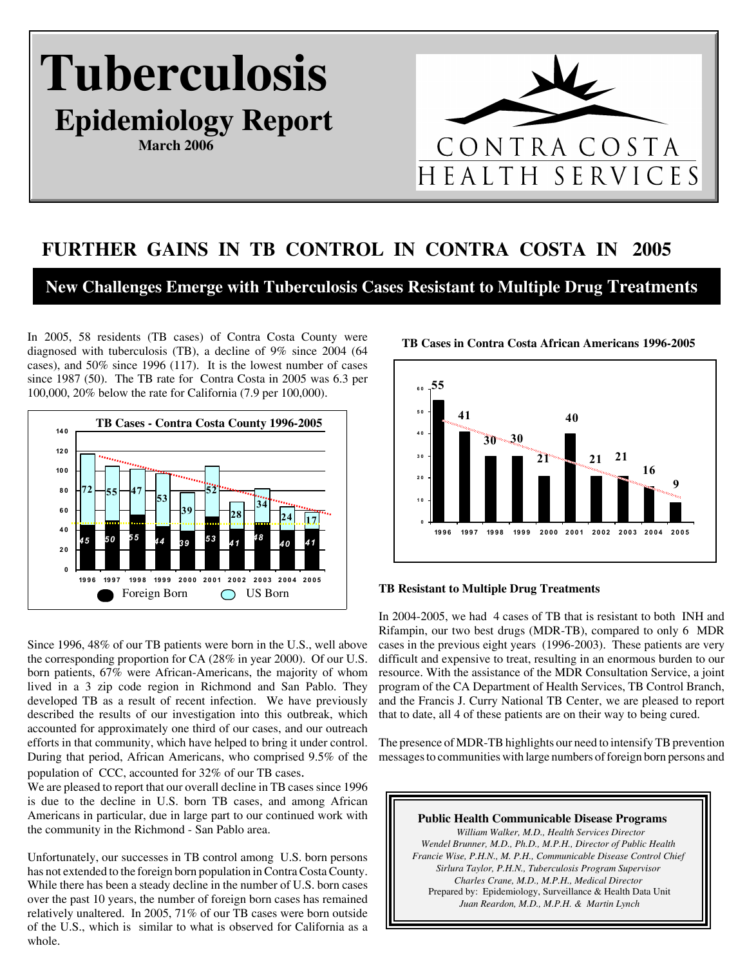# **Tuberculosis Epidemiology Report**

**March 2006**



# **FURTHER GAINS IN TB CONTROL IN CONTRA COSTA IN 2005**

**New Challenges Emerge with Tuberculosis Cases Resistant to Multiple Drug Treatments**

In 2005, 58 residents (TB cases) of Contra Costa County were diagnosed with tuberculosis (TB), a decline of 9% since 2004 (64 cases), and 50% since 1996 (117). It is the lowest number of cases since 1987 (50). The TB rate for Contra Costa in 2005 was 6.3 per 100,000, 20% below the rate for California (7.9 per 100,000).





**TB Cases in Contra Costa African Americans 1996-2005** 

#### **TB Resistant to Multiple Drug Treatments**

Since 1996, 48% of our TB patients were born in the U.S., well above the corresponding proportion for CA (28% in year 2000). Of our U.S. born patients, 67% were African-Americans, the majority of whom lived in a 3 zip code region in Richmond and San Pablo. They developed TB as a result of recent infection. We have previously described the results of our investigation into this outbreak, which accounted for approximately one third of our cases, and our outreach efforts in that community, which have helped to bring it under control. During that period, African Americans, who comprised 9.5% of the population of CCC, accounted for 32% of our TB cases.

We are pleased to report that our overall decline in TB cases since 1996 is due to the decline in U.S. born TB cases, and among African Americans in particular, due in large part to our continued work with the community in the Richmond - San Pablo area.

Unfortunately, our successes in TB control among U.S. born persons has not extended to the foreign born population in Contra Costa County. While there has been a steady decline in the number of U.S. born cases over the past 10 years, the number of foreign born cases has remained relatively unaltered. In 2005, 71% of our TB cases were born outside of the U.S., which is similar to what is observed for California as a whole.

In 2004-2005, we had 4 cases of TB that is resistant to both INH and Rifampin, our two best drugs (MDR-TB), compared to only 6 MDR cases in the previous eight years (1996-2003). These patients are very difficult and expensive to treat, resulting in an enormous burden to our resource. With the assistance of the MDR Consultation Service, a joint program of the CA Department of Health Services, TB Control Branch, and the Francis J. Curry National TB Center, we are pleased to report that to date, all 4 of these patients are on their way to being cured.

The presence of MDR-TB highlights our need to intensify TB prevention messages to communities with large numbers of foreign born persons and

**Public Health Communicable Disease Programs** *William Walker, M.D., Health Services Director Wendel Brunner, M.D., Ph.D., M.P.H., Director of Public Health Francie Wise, P.H.N., M. P.H., Communicable Disease Control Chief Sirlura Taylor, P.H.N., Tuberculosis Program Supervisor Charles Crane, M.D., M.P.H., Medical Director* Prepared by: Epidemiology, Surveillance & Health Data Unit *Juan Reardon, M.D., M.P.H. & Martin Lynch*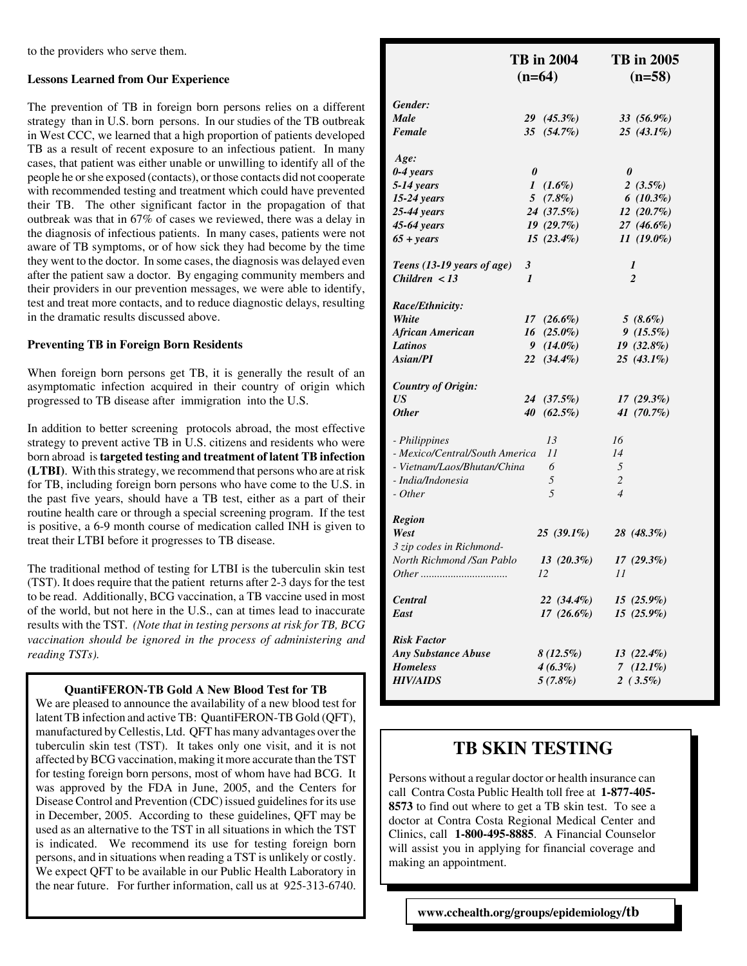to the providers who serve them.

#### **Lessons Learned from Our Experience**

The prevention of TB in foreign born persons relies on a different strategy than in U.S. born persons. In our studies of the TB outbreak in West CCC, we learned that a high proportion of patients developed TB as a result of recent exposure to an infectious patient. In many cases, that patient was either unable or unwilling to identify all of the people he or she exposed (contacts), or those contacts did not cooperate with recommended testing and treatment which could have prevented their TB. The other significant factor in the propagation of that outbreak was that in 67% of cases we reviewed, there was a delay in the diagnosis of infectious patients. In many cases, patients were not aware of TB symptoms, or of how sick they had become by the time they went to the doctor. In some cases, the diagnosis was delayed even after the patient saw a doctor. By engaging community members and their providers in our prevention messages, we were able to identify, test and treat more contacts, and to reduce diagnostic delays, resulting in the dramatic results discussed above.

#### **Preventing TB in Foreign Born Residents**

When foreign born persons get TB, it is generally the result of an asymptomatic infection acquired in their country of origin which progressed to TB disease after immigration into the U.S.

In addition to better screening protocols abroad, the most effective strategy to prevent active TB in U.S. citizens and residents who were born abroad is **targeted testing and treatment of latent TB infection (LTBI)**. With this strategy, we recommend that persons who are at risk for TB, including foreign born persons who have come to the U.S. in the past five years, should have a TB test, either as a part of their routine health care or through a special screening program. If the test is positive, a 6-9 month course of medication called INH is given to treat their LTBI before it progresses to TB disease.

The traditional method of testing for LTBI is the tuberculin skin test (TST). It does require that the patient returns after 2-3 days for the test to be read. Additionally, BCG vaccination, a TB vaccine used in most of the world, but not here in the U.S., can at times lead to inaccurate results with the TST. *(Note that in testing persons at risk for TB, BCG vaccination should be ignored in the process of administering and reading TSTs).*

### **QuantiFERON-TB Gold A New Blood Test for TB**

We are pleased to announce the availability of a new blood test for latent TB infection and active TB: QuantiFERON-TB Gold (QFT), manufactured by Cellestis, Ltd. QFT has many advantages over the tuberculin skin test (TST). It takes only one visit, and it is not affected by BCG vaccination, making it more accurate than the TST for testing foreign born persons, most of whom have had BCG. It was approved by the FDA in June, 2005, and the Centers for Disease Control and Prevention (CDC) issued guidelines for its use in December, 2005. According to these guidelines, QFT may be used as an alternative to the TST in all situations in which the TST is indicated. We recommend its use for testing foreign born persons, and in situations when reading a TST is unlikely or costly. We expect QFT to be available in our Public Health Laboratory in the near future. For further information, call us at 925-313-6740.

|                                | <b>TB</b> in 2004<br>$(n=64)$ | <b>TB</b> in 2005<br>$(n=58)$ |  |
|--------------------------------|-------------------------------|-------------------------------|--|
| Gender:                        |                               |                               |  |
| Male                           | $29(45.3\%)$                  | 33 (56.9%)                    |  |
| Female                         | 35 (54.7%)                    | $25(43.1\%)$                  |  |
| Age:                           |                               |                               |  |
| $0-4$ years                    | 0                             | 0                             |  |
| $5-14$ years                   | $1(1.6\%)$                    | 2 $(3.5\%)$                   |  |
| $15-24$ years                  | $5(7.8\%)$                    | $6(10.3\%)$                   |  |
| $25-44$ years                  | 24 (37.5%)                    | 12(20.7%)                     |  |
| 45-64 years                    | $19(29.7\%)$                  | 27 (46.6%)                    |  |
| $65 + years$                   | $15(23.4\%)$                  | $11(19.0\%)$                  |  |
| Teens (13-19 years of age)     | 3                             | 1                             |  |
| Children $<$ 13                | $\mathbf{I}$                  | $\overline{c}$                |  |
| Race/Ethnicity:                |                               |                               |  |
| White                          | $17(26.6\%)$                  | $5(8.6\%)$                    |  |
| <b>African American</b>        | $16(25.0\%)$                  | $9(15.5\%)$                   |  |
| <b>Latinos</b>                 | $9(14.0\%)$                   | $19(32.8\%)$                  |  |
| Asian/PI                       | $22(34.4\%)$                  | $25(43.1\%)$                  |  |
| <b>Country of Origin:</b>      |                               |                               |  |
| US                             | 24 (37.5%)                    | $17(29.3\%)$                  |  |
| <b>Other</b>                   | $40(62.5\%)$                  | 41 (70.7%)                    |  |
| - Philippines                  | 13                            | 16                            |  |
| - Mexico/Central/South America | 11                            | 14                            |  |
| - Vietnam/Laos/Bhutan/China    | 6                             | 5                             |  |
| - India/Indonesia              | 5                             | $\overline{2}$                |  |
| - Other                        | 5                             | $\overline{4}$                |  |
| <b>Region</b>                  |                               |                               |  |
| West                           | $25(39.1\%)$                  | 28 (48.3%)                    |  |
| 3 zip codes in Richmond-       |                               |                               |  |
| North Richmond /San Pablo      | $13(20.3\%)$                  | $17(29.3\%)$                  |  |
|                                | 12                            | 11                            |  |
| <b>Central</b>                 | $22(34.4\%)$                  | $15(25.9\%)$                  |  |
| East                           | $17(26.6\%)$                  | $15(25.9\%)$                  |  |
| <b>Risk Factor</b>             |                               |                               |  |
| <b>Any Substance Abuse</b>     | $8(12.5\%)$                   | $13(22.4\%)$                  |  |
| <b>Homeless</b>                | $4(6.3\%)$                    | 7 $(12.1\%)$                  |  |
| <b>HIV/AIDS</b>                | $5(7.8\%)$                    | $2(3.5\%)$                    |  |

# **TB SKIN TESTING**

Persons without a regular doctor or health insurance can call Contra Costa Public Health toll free at **1-877-405- 8573** to find out where to get a TB skin test. To see a doctor at Contra Costa Regional Medical Center and Clinics, call **1-800-495-8885**. A Financial Counselor will assist you in applying for financial coverage and making an appointment.

 **www.cchealth.org/groups/epidemiology/tb**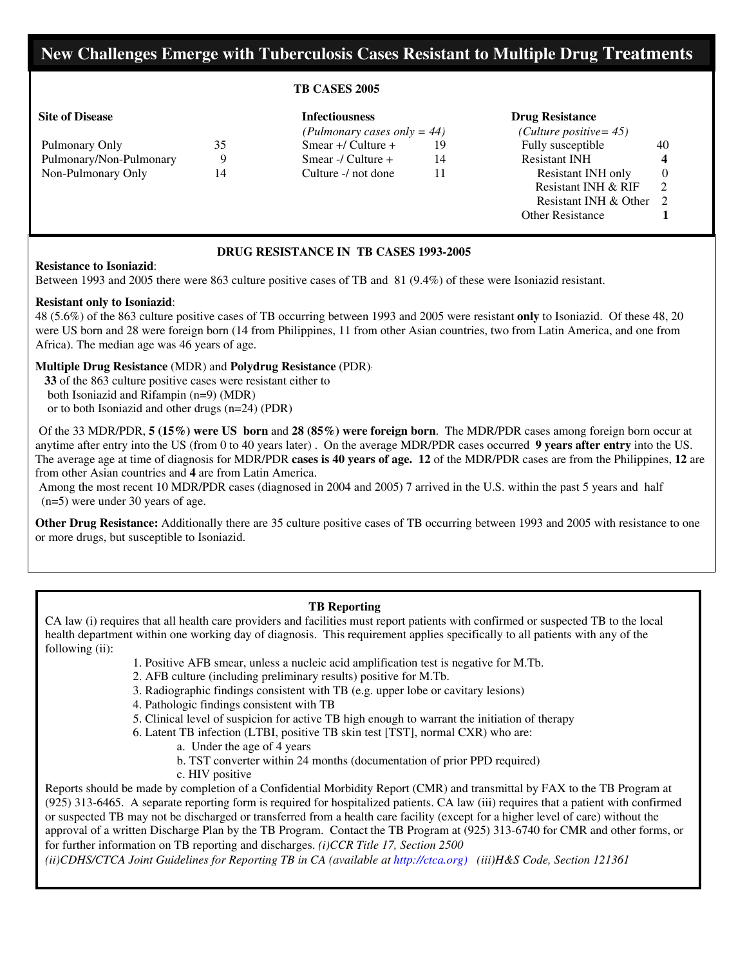## **New Challenges Emerge with Tuberculosis Cases Resistant to Multiple Drug Treatments**

#### **TB CASES 2005**

| Pulmonary Only          | 35 |
|-------------------------|----|
| Pulmonary/Non-Pulmonary | 9  |
| Non-Pulmonary Only      | 14 |

#### **Site of Disease Infectiousness Drug Resistance**

|                         |    |                         | (Pulmonary cases only $= 44$ ) |                         |          |
|-------------------------|----|-------------------------|--------------------------------|-------------------------|----------|
| Pulmonary Only          | 35 | Smear $+$ / Culture $+$ | 19                             | Fully susceptible       | 40       |
| Pulmonary/Non-Pulmonary |    | Smear -/ Culture $+$    | 14                             | <b>Resistant INH</b>    |          |
| Non-Pulmonary Only      | 14 | Culture -/ not done     |                                | Resistant INH only      | $\Omega$ |
|                         |    |                         |                                | Resistant INH & RIF     |          |
|                         |    |                         |                                | Resistant INH & Other   |          |
|                         |    |                         |                                | <b>Other Resistance</b> |          |

### **DRUG RESISTANCE IN TB CASES 1993-2005**

#### **Resistance to Isoniazid**:

Between 1993 and 2005 there were 863 culture positive cases of TB and 81 (9.4%) of these were Isoniazid resistant.

#### **Resistant only to Isoniazid**:

48 (5.6%) of the 863 culture positive cases of TB occurring between 1993 and 2005 were resistant **only** to Isoniazid. Of these 48, 20 were US born and 28 were foreign born (14 from Philippines, 11 from other Asian countries, two from Latin America, and one from Africa). The median age was 46 years of age.

### **Multiple Drug Resistance** (MDR) and **Polydrug Resistance** (PDR):

 **33** of the 863 culture positive cases were resistant either to both Isoniazid and Rifampin (n=9) (MDR) or to both Isoniazid and other drugs (n=24) (PDR)

 Of the 33 MDR/PDR, **5 (15%) were US born** and **28 (85%) were foreign born**. The MDR/PDR cases among foreign born occur at anytime after entry into the US (from 0 to 40 years later) . On the average MDR/PDR cases occurred **9 years after entry** into the US. The average age at time of diagnosis for MDR/PDR **cases is 40 years of age. 12** of the MDR/PDR cases are from the Philippines, **12** are from other Asian countries and **4** are from Latin America.

 Among the most recent 10 MDR/PDR cases (diagnosed in 2004 and 2005) 7 arrived in the U.S. within the past 5 years and half (n=5) were under 30 years of age.

**Other Drug Resistance:** Additionally there are 35 culture positive cases of TB occurring between 1993 and 2005 with resistance to one or more drugs, but susceptible to Isoniazid.

#### **TB Reporting**

CA law (i) requires that all health care providers and facilities must report patients with confirmed or suspected TB to the local health department within one working day of diagnosis. This requirement applies specifically to all patients with any of the following (ii):

- 1. Positive AFB smear, unless a nucleic acid amplification test is negative for M.Tb.
- 2. AFB culture (including preliminary results) positive for M.Tb.
- 3. Radiographic findings consistent with TB (e.g. upper lobe or cavitary lesions)
- 4. Pathologic findings consistent with TB
- 5. Clinical level of suspicion for active TB high enough to warrant the initiation of therapy
- 6. Latent TB infection (LTBI, positive TB skin test [TST], normal CXR) who are:
	- a. Under the age of 4 years
	- b. TST converter within 24 months (documentation of prior PPD required)
	- c. HIV positive

Reports should be made by completion of a Confidential Morbidity Report (CMR) and transmittal by FAX to the TB Program at (925) 313-6465. A separate reporting form is required for hospitalized patients. CA law (iii) requires that a patient with confirmed or suspected TB may not be discharged or transferred from a health care facility (except for a higher level of care) without the approval of a written Discharge Plan by the TB Program. Contact the TB Program at (925) 313-6740 for CMR and other forms, or for further information on TB reporting and discharges. *(i)CCR Title 17, Section 2500*

*(ii)CDHS/CTCA Joint Guidelines for Reporting TB in CA (available at http://ctca.org) (iii)H&S Code, Section 121361*